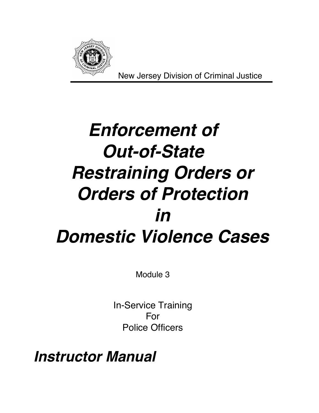

New Jersey Division of Criminal Justice

# **Enforcement of Out-of-State Restraining Orders or Orders of Protection in Domestic Violence Cases**

Module 3

In-Service Training For Police Officers

**Instructor Manual**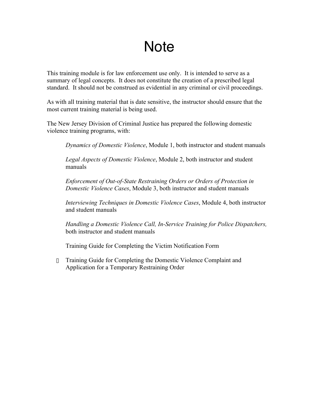# **Note**

This training module is for law enforcement use only. It is intended to serve as a summary of legal concepts. It does not constitute the creation of a prescribed legal standard. It should not be construed as evidential in any criminal or civil proceedings.

As with all training material that is date sensitive, the instructor should ensure that the most current training material is being used.

The New Jersey Division of Criminal Justice has prepared the following domestic violence training programs, with:

- ® *Dynamics of Domestic Violence*, Module 1, both instructor and student manuals
- ® *Legal Aspects of Domestic Violence*, Module 2, both instructor and student manuals
- ® *Enforcement of Out-of-State Restraining Orders or Orders of Protection in Domestic Violence Cases*, Module 3, both instructor and student manuals
- ® *Interviewing Techniques in Domestic Violence Cases*, Module 4, both instructor and student manuals
- ® *Handling a Domestic Violence Call, In-Service Training for Police Dispatchers,* both instructor and student manuals
- ® Training Guide for Completing the Victim Notification Form
- Training Guide for Completing the Domestic Violence Complaint and Application for a Temporary Restraining Order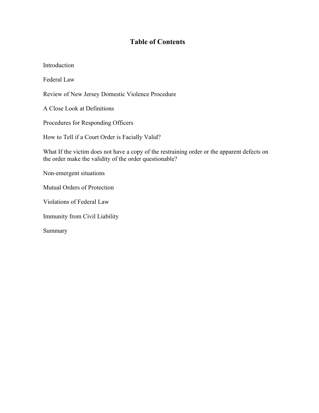# **Table of Contents**

Introduction Federal Law Review of New Jersey Domestic Violence Procedure A Close Look at Definitions Procedures for Responding Officers How to Tell if a Court Order is Facially Valid? What If the victim does not have a copy of the restraining order or the apparent defects on the order make the validity of the order questionable? Non-emergent situations Mutual Orders of Protection Violations of Federal Law Immunity from Civil Liability

Summary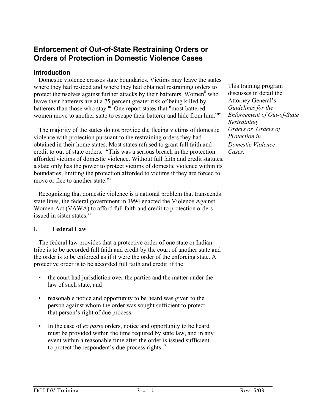# **Enforcement of Out-of-State Restraining Orders or Orders of Protection in Domestic Violence Cases**<sup>i</sup>

# **Introduction**

Domestic violence crosses state boundaries. Victims may leave the states where they had resided and where they had obtained restraining orders to protect themselves against further attacks by their batterers. Women<sup>ii</sup> who leave their batterers are at a 75 percent greater risk of being killed by batterers than those who stay.<sup>iii</sup> One report states that "most battered women move to another state to escape their batterer and hide from him."<sup>iv</sup>

The majority of the states do not provide the fleeing victims of domestic violence with protection pursuant to the restraining orders they had obtained in their home states. Most states refused to grant full faith and credit to out of state orders. "This was a serious breach in the protection afforded victims of domestic violence. Without full faith and credit statutes, a state only has the power to protect victims of domestic violence within its boundaries, limiting the protection afforded to victims if they are forced to move or flee to another state."<sup>v</sup>

Recognizing that domestic violence is a national problem that transcends state lines, the federal government in 1994 enacted the Violence Against Women Act (VAWA) to afford full faith and credit to protection orders issued in sister states.<sup>vi</sup>

# I. **Federal Law**

The federal law provides that a protective order of one state or Indian tribe is to be accorded full faith and credit by the court of another state and the order is to be enforced as if it were the order of the enforcing state. A protective order is to be accorded full faith and credit if the

- the court had jurisdiction over the parties and the matter under the law of such state, and
- reasonable notice and opportunity to be heard was given to the person against whom the order was sought sufficient to protect that person's right of due process.
- In the case of *ex parte* orders, notice and opportunity to be heard must be provided within the time required by state law, and in any event within a reasonable time after the order is issued sufficient to protect the respondent's due process rights. 7

This training program discusses in detail the Attorney General's *Guidelines for the Enforcement of Out-of-State Restraining Orders or Orders of Protection in Domestic Violence Cases.*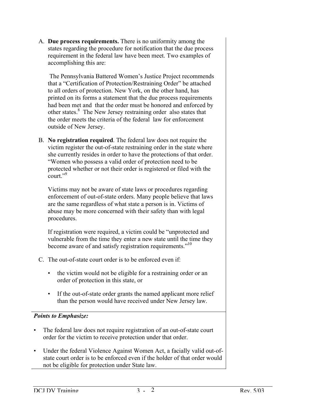A. **Due process requirements.** There is no uniformity among the states regarding the procedure for notification that the due process requirement in the federal law have been meet. Two examples of accomplishing this are:

 The Pennsylvania Battered Women's Justice Project recommends that a "Certification of Protection/Restraining Order" be attached to all orders of protection. New York, on the other hand, has printed on its forms a statement that the due process requirements had been met and that the order must be honored and enforced by other states.<sup>8</sup> The New Jersey restraining order also states that the order meets the criteria of the federal law for enforcement outside of New Jersey.

B. **No registration required**. The federal law does not require the victim register the out-of-state restraining order in the state where she currently resides in order to have the protections of that order. "Women who possess a valid order of protection need to be protected whether or not their order is registered or filed with the court<sup> $,9$ </sup>

Victims may not be aware of state laws or procedures regarding enforcement of out-of-state orders. Many people believe that laws are the same regardless of what state a person is in. Victims of abuse may be more concerned with their safety than with legal procedures.

If registration were required, a victim could be "unprotected and vulnerable from the time they enter a new state until the time they become aware of and satisfy registration requirements."<sup>10</sup>

- C. The out-of-state court order is to be enforced even if:
	- the victim would not be eligible for a restraining order or an order of protection in this state, or
	- If the out-of-state order grants the named applicant more relief than the person would have received under New Jersey law.

# *Points to Emphasize:*

- The federal law does not require registration of an out-of-state court order for the victim to receive protection under that order.
- Under the federal Violence Against Women Act, a facially valid out-ofstate court order is to be enforced even if the holder of that order would not be eligible for protection under State law.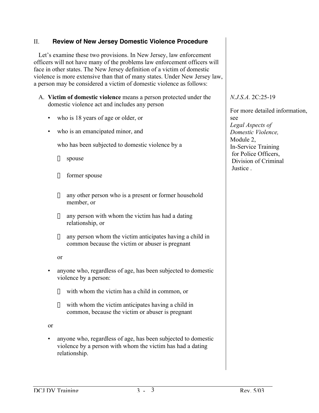#### II. **Review of New Jersey Domestic Violence Procedure**

Let's examine these two provisions. In New Jersey, law enforcement officers will not have many of the problems law enforcement officers will face in other states. The New Jersey definition of a victim of domestic violence is more extensive than that of many states. Under New Jersey law, a person may be considered a victim of domestic violence as follows:

- A. **Victim of domestic violence** means a person protected under the domestic violence act and includes any person
	- who is 18 years of age or older, or
	- who is an emancipated minor, and

who has been subjected to domestic violence by a

- $\checkmark$  spouse
- $\checkmark$  former spouse
- $\checkmark$  any other person who is a present or former household member, or
- $\checkmark$  any person with whom the victim has had a dating relationship, or
- $\checkmark$  any person whom the victim anticipates having a child in common because the victim or abuser is pregnant

or

- anyone who, regardless of age, has been subjected to domestic violence by a person:
	- $\checkmark$  with whom the victim has a child in common, or
	- $\checkmark$  with whom the victim anticipates having a child in common, because the victim or abuser is pregnant

or

• anyone who, regardless of age, has been subjected to domestic violence by a person with whom the victim has had a dating relationship.

*N.J.S.A.* 2C:25-19

For more detailed information, see *Legal Aspects of Domestic Violence,* Module 2 In-Service Training for Police Officers, Division of Criminal **Justice**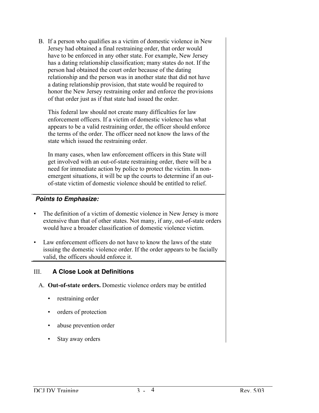B. If a person who qualifies as a victim of domestic violence in New Jersey had obtained a final restraining order, that order would have to be enforced in any other state. For example, New Jersey has a dating relationship classification; many states do not. If the person had obtained the court order because of the dating relationship and the person was in another state that did not have a dating relationship provision, that state would be required to honor the New Jersey restraining order and enforce the provisions of that order just as if that state had issued the order.

This federal law should not create many difficulties for law enforcement officers. If a victim of domestic violence has what appears to be a valid restraining order, the officer should enforce the terms of the order. The officer need not know the laws of the state which issued the restraining order.

In many cases, when law enforcement officers in this State will get involved with an out-of-state restraining order, there will be a need for immediate action by police to protect the victim. In nonemergent situations, it will be up the courts to determine if an outof-state victim of domestic violence should be entitled to relief.

# **Points to Emphasize:**

- The definition of a victim of domestic violence in New Jersey is more extensive than that of other states. Not many, if any, out-of-state orders would have a broader classification of domestic violence victim.
- Law enforcement officers do not have to know the laws of the state issuing the domestic violence order. If the order appears to be facially valid, the officers should enforce it.

# III. **A Close Look at Definitions**

- A. **Out-of-state orders.** Domestic violence orders may be entitled
	- restraining order
	- orders of protection
	- abuse prevention order
	- Stay away orders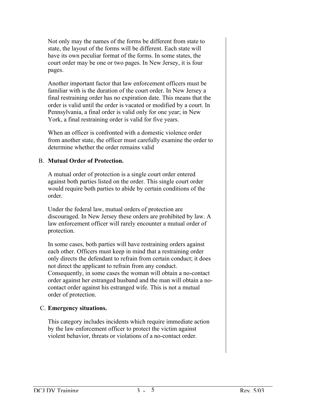Not only may the names of the forms be different from state to state, the layout of the forms will be different. Each state will have its own peculiar format of the forms. In some states, the court order may be one or two pages. In New Jersey, it is four pages.

Another important factor that law enforcement officers must be familiar with is the duration of the court order. In New Jersey a final restraining order has no expiration date. This means that the order is valid until the order is vacated or modified by a court. In Pennsylvania, a final order is valid only for one year; in New York, a final restraining order is valid for five years.

When an officer is confronted with a domestic violence order from another state, the officer must carefully examine the order to determine whether the order remains valid

#### B. **Mutual Order of Protection.**

A mutual order of protection is a single court order entered against both parties listed on the order. This single court order would require both parties to abide by certain conditions of the order.

Under the federal law, mutual orders of protection are discouraged. In New Jersey these orders are prohibited by law. A law enforcement officer will rarely encounter a mutual order of protection.

In some cases, both parties will have restraining orders against each other. Officers must keep in mind that a restraining order only directs the defendant to refrain from certain conduct; it does not direct the applicant to refrain from any conduct. Consequently, in some cases the woman will obtain a no-contact order against her estranged husband and the man will obtain a nocontact order against his estranged wife. This is not a mutual order of protection.

#### C. **Emergency situations.**

This category includes incidents which require immediate action by the law enforcement officer to protect the victim against violent behavior, threats or violations of a no-contact order.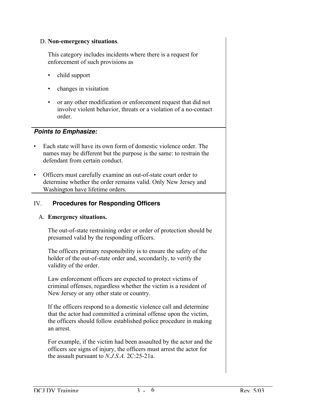#### D. **Non-emergency situations**.

This category includes incidents where there is a request for enforcement of such provisions as

- child support
- changes in visitation
- or any other modification or enforcement request that did not involve violent behavior, threats or a violation of a no-contact order.

# **Points to Emphasize:**

- Each state will have its own form of domestic violence order. The names may be different but the purpose is the same: to restrain the defendant from certain conduct.
- Officers must carefully examine an out-of-state court order to determine whether the order remains valid. Only New Jersey and Washington have lifetime orders.

# IV. **Procedures for Responding Officers**

#### A. **Emergency situations.**

The out-of-state restraining order or order of protection should be presumed valid by the responding officers.

The officers primary responsibility is to ensure the safety of the holder of the out-of-state order and, secondarily, to verify the validity of the order.

Law enforcement officers are expected to protect victims of criminal offenses, regardless whether the victim is a resident of New Jersey or any other state or country.

If the officers respond to a domestic violence call and determine that the actor had committed a criminal offense upon the victim, the officers should follow established police procedure in making an arrest.

For example, if the victim had been assaulted by the actor and the officers see signs of injury, the officers must arrest the actor for the assault pursuant to *N.J.S.A.* 2C:25-21a.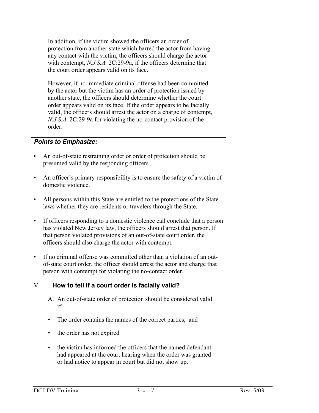In addition, if the victim showed the officers an order of protection from another state which barred the actor from having any contact with the victim, the officers should charge the actor with contempt, *N.J.S.A.* 2C:29-9a, if the officers determine that the court order appears valid on its face.

However, if no immediate criminal offense had been committed by the actor but the victim has an order of protection issued by another state, the officers should determine whether the court order appears valid on its face. If the order appears to be facially valid, the officers should arrest the actor on a charge of contempt, *N.J.S.A.* 2C:29-9a for violating the no-contact provision of the order.

# **Points to Emphasize:**

- An out-of-state restraining order or order of protection should be presumed valid by the responding officers.
- An officer's primary responsibility is to ensure the safety of a victim of domestic violence.
- All persons within this State are entitled to the protections of the State laws whether they are residents or travelers through the State.
- If officers responding to a domestic violence call conclude that a person has violated New Jersey law, the officers should arrest that person. If that person violated provisions of an out-of-state court order, the officers should also charge the actor with contempt.
- If no criminal offense was committed other than a violation of an outof-state court order, the officer should arrest the actor and charge that person with contempt for violating the no-contact order.

# V. **How to tell if a court order is facially valid?**

- A. An out-of-state order of protection should be considered valid if:
- The order contains the names of the correct parties, and
- the order has not expired
- the victim has informed the officers that the named defendant had appeared at the court hearing when the order was granted or had notice to appear in court but did not show up.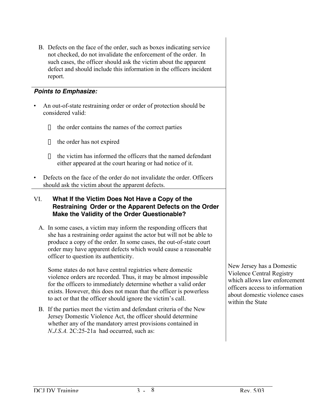B. Defects on the face of the order, such as boxes indicating service not checked, do not invalidate the enforcement of the order. In such cases, the officer should ask the victim about the apparent defect and should include this information in the officers incident report.

# **Points to Emphasize:**

- An out-of-state restraining order or order of protection should be considered valid:
	- $\checkmark$  the order contains the names of the correct parties
	- $\checkmark$  the order has not expired
	- $\angle$  the victim has informed the officers that the named defendant either appeared at the court hearing or had notice of it.
- Defects on the face of the order do not invalidate the order. Officers should ask the victim about the apparent defects.

# VI. **What If the Victim Does Not Have a Copy of the Restraining Order or the Apparent Defects on the Order Make the Validity of the Order Questionable?**

A. In some cases, a victim may inform the responding officers that she has a restraining order against the actor but will not be able to produce a copy of the order. In some cases, the out-of-state court order may have apparent defects which would cause a reasonable officer to question its authenticity.

Some states do not have central registries where domestic violence orders are recorded. Thus, it may be almost impossible for the officers to immediately determine whether a valid order exists. However, this does not mean that the officer is powerless to act or that the officer should ignore the victim's call.

B. If the parties meet the victim and defendant criteria of the New Jersey Domestic Violence Act, the officer should determine whether any of the mandatory arrest provisions contained in *N.J.S.A.* 2C:25-21a had occurred, such as:

New Jersey has a Domestic Violence Central Registry which allows law enforcement officers access to information about domestic violence cases within the State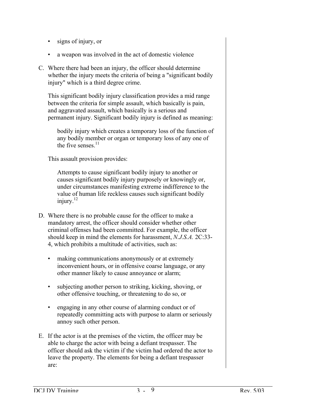- signs of injury, or
- a weapon was involved in the act of domestic violence
- C. Where there had been an injury, the officer should determine whether the injury meets the criteria of being a "significant bodily injury" which is a third degree crime.

This significant bodily injury classification provides a mid range between the criteria for simple assault, which basically is pain, and aggravated assault, which basically is a serious and permanent injury. Significant bodily injury is defined as meaning:

bodily injury which creates a temporary loss of the function of any bodily member or organ or temporary loss of any one of the five senses  $11$ 

This assault provision provides:

Attempts to cause significant bodily injury to another or causes significant bodily injury purposely or knowingly or, under circumstances manifesting extreme indifference to the value of human life reckless causes such significant bodily injury. $^{12}$ 

- D. Where there is no probable cause for the officer to make a mandatory arrest, the officer should consider whether other criminal offenses had been committed. For example, the officer should keep in mind the elements for harassment, *N.J.S.A.* 2C:33- 4, which prohibits a multitude of activities, such as:
	- making communications anonymously or at extremely inconvenient hours, or in offensive coarse language, or any other manner likely to cause annoyance or alarm;
	- subjecting another person to striking, kicking, shoving, or other offensive touching, or threatening to do so, or
	- engaging in any other course of alarming conduct or of repeatedly committing acts with purpose to alarm or seriously annoy such other person.
- E. If the actor is at the premises of the victim, the officer may be able to charge the actor with being a defiant trespasser. The officer should ask the victim if the victim had ordered the actor to leave the property. The elements for being a defiant trespasser are: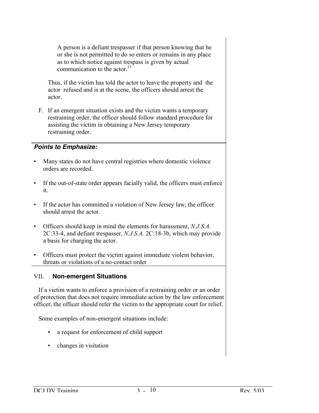A person is a defiant trespasser if that person knowing that he or she is not permitted to do so enters or remains in any place as to which notice against trespass is given by actual communication to the actor.<sup>13</sup>

Thus, if the victim has told the actor to leave the property and the actor refused and is at the scene, the officers should arrest the actor.

F. If an emergent situation exists and the victim wants a temporary restraining order, the officer should follow standard procedure for assisting the victim in obtaining a New Jersey temporary restraining order.

#### **Points to Emphasize:**

- Many states do not have central registries where domestic violence orders are recorded.
- If the out-of-state order appears facially valid, the officers must enforce it.
- If the actor has committed a violation of New Jersey law, the officer should arrest the actor.
- Officers should keep in mind the elements for harassment, *N.J.S.A.* 2C:33-4, and defiant trespasser, *N.J.S.A.* 2C:18-3b, which may provide a basis for charging the actor.
- Officers must protect the victim against immediate violent behavior, threats or violations of a no-contact order

#### VII. **Non-emergent Situations**

If a victim wants to enforce a provision of a restraining order or an order of protection that does not require immediate action by the law enforcement officer, the officer should refer the victim to the appropriate court for relief.

Some examples of non-emergent situations include:

- a request for enforcement of child support
- changes in visitation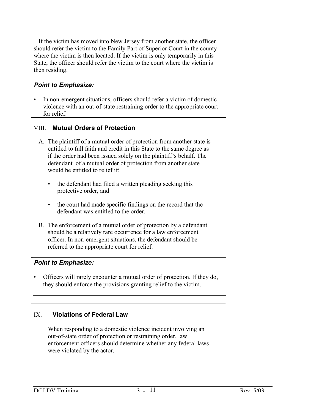If the victim has moved into New Jersey from another state, the officer should refer the victim to the Family Part of Superior Court in the county where the victim is then located. If the victim is only temporarily in this State, the officer should refer the victim to the court where the victim is then residing.

#### **Point to Emphasize:**

In non-emergent situations, officers should refer a victim of domestic violence with an out-of-state restraining order to the appropriate court for relief.

#### VIII. **Mutual Orders of Protection**

- A. The plaintiff of a mutual order of protection from another state is entitled to full faith and credit in this State to the same degree as if the order had been issued solely on the plaintiff's behalf. The defendant of a mutual order of protection from another state would be entitled to relief if:
	- the defendant had filed a written pleading seeking this protective order, and
	- the court had made specific findings on the record that the defendant was entitled to the order.
- B. The enforcement of a mutual order of protection by a defendant should be a relatively rare occurrence for a law enforcement officer. In non-emergent situations, the defendant should be referred to the appropriate court for relief.

#### **Point to Emphasize:**

• Officers will rarely encounter a mutual order of protection. If they do, they should enforce the provisions granting relief to the victim.

# IX. **Violations of Federal Law**

When responding to a domestic violence incident involving an out-of-state order of protection or restraining order, law enforcement officers should determine whether any federal laws were violated by the actor.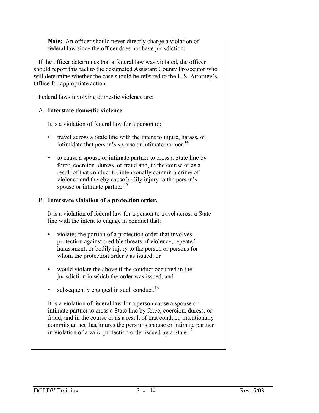**Note:** An officer should never directly charge a violation of federal law since the officer does not have jurisdiction.

If the officer determines that a federal law was violated, the officer should report this fact to the designated Assistant County Prosecutor who will determine whether the case should be referred to the U.S. Attorney's Office for appropriate action.

Federal laws involving domestic violence are:

#### A. **Interstate domestic violence.**

It is a violation of federal law for a person to:

- travel across a State line with the intent to injure, harass, or intimidate that person's spouse or intimate partner.<sup>14</sup>
- to cause a spouse or intimate partner to cross a State line by force, coercion, duress, or fraud and, in the course or as a result of that conduct to, intentionally commit a crime of violence and thereby cause bodily injury to the person's spouse or intimate partner. $15$

#### B. **Interstate violation of a protection order.**

It is a violation of federal law for a person to travel across a State line with the intent to engage in conduct that:

- violates the portion of a protection order that involves protection against credible threats of violence, repeated harassment, or bodily injury to the person or persons for whom the protection order was issued; or
- would violate the above if the conduct occurred in the jurisdiction in which the order was issued, and
- subsequently engaged in such conduct.<sup>16</sup>

It is a violation of federal law for a person cause a spouse or intimate partner to cross a State line by force, coercion, duress, or fraud, and in the course or as a result of that conduct, intentionally commits an act that injures the person's spouse or intimate partner in violation of a valid protection order issued by a State.<sup>17</sup>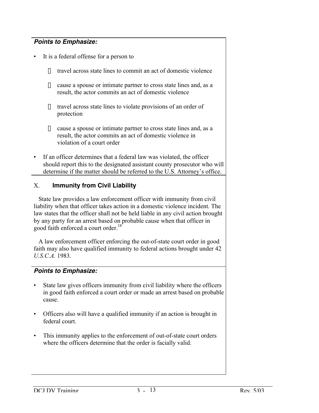# **Points to Emphasize:**

- It is a federal offense for a person to
	- $\checkmark$  travel across state lines to commit an act of domestic violence
	- $\checkmark$  cause a spouse or intimate partner to cross state lines and, as a result, the actor commits an act of domestic violence
	- $\checkmark$  travel across state lines to violate provisions of an order of protection
	- $\checkmark$  cause a spouse or intimate partner to cross state lines and, as a result, the actor commits an act of domestic violence in violation of a court order
- If an officer determines that a federal law was violated, the officer should report this to the designated assistant county prosecutor who will determine if the matter should be referred to the U.S. Attorney's office.

# X. **Immunity from Civil Liability**

State law provides a law enforcement officer with immunity from civil liability when that officer takes action in a domestic violence incident. The law states that the officer shall not be held liable in any civil action brought by any party for an arrest based on probable cause when that officer in good faith enforced a court order.<sup>18</sup>

A law enforcement officer enforcing the out-of-state court order in good faith may also have qualified immunity to federal actions brought under 42 *U.S.C.A.* 1983.

# **Points to Emphasize:**

- State law gives officers immunity from civil liability where the officers in good faith enforced a court order or made an arrest based on probable cause.
- Officers also will have a qualified immunity if an action is brought in federal court.
- This immunity applies to the enforcement of out-of-state court orders where the officers determine that the order is facially valid.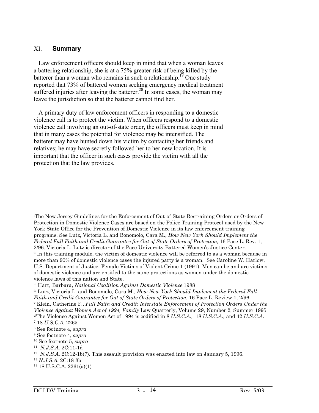#### XI. **Summary**

Law enforcement officers should keep in mind that when a woman leaves a battering relationship, she is at a 75% greater risk of being killed by the batterer than a woman who remains in such a relationship.<sup>19</sup> One study reported that 73% of battered women seeking emergency medical treatment suffered injuries after leaving the batterer.<sup>20</sup> In some cases, the woman may leave the jurisdiction so that the batterer cannot find her.

A primary duty of law enforcement officers in responding to a domestic violence call is to protect the victim. When officers respond to a domestic violence call involving an out-of-state order, the officers must keep in mind that in many cases the potential for violence may be intensified. The batterer may have hunted down his victim by contacting her friends and relatives; he may have secretly followed her to her new location. It is important that the officer in such cases provide the victim with all the protection that the law provides.

 $\overline{a}$ 

i The New Jersey Guidelines for the Enforcement of Out-of-State Restraining Orders or Orders of Protection in Domestic Violence Cases are based on the Police Training Protocol used by the New York State Office for the Prevention of Domestic Violence in its law enforcement training programs. See Lutz, Victoria L. and Bonomolo, Cara M., *How New York Should Implement the Federal Full Faith and Credit Guarantee for Out of State Orders of Protection,* 16 Pace L. Rev. 1, 2/96. Victoria L. Lutz is director of the Pace University Battered Women's Justice Center.

ii In this training module, the victim of domestic violence will be referred to as a woman because in more than 90% of domestic violence cases the injured party is a woman. See Caroline W. Harlow, U.S. Department of Justice, Female Victims of Violent Crime 1 (1991). Men can be and are victims of domestic violence and are entitled to the same protections as women under the domestic violence laws of this nation and State.

iii Hart, Barbara, *National Coalition Against Domestic Violence* 1988

iv Lutz, Victoria L. and Bonomolo, Cara M., *How New York Should Implement the Federal Full Faith and Credit Guarantee for Out of State Orders of Protection,* 16 Pace L. Review 1, 2/96.

v Klein, Catherine F., *Full Faith and Credit: Interstate Enforcement of Protection Orders Under the Violence Against Women Act of 1994, Family* Law Quarterly, Volume 29, Number 2, Summer 1995 vi The Violence Against Women Act of 1994 is codified in 8 *U.S.C.A.,* 18 *U.S.C.A.,* and 42 *U.S.C.A.*

<sup>7 18</sup> *U.S.C.A.* 2265

<sup>8</sup> See footnote 4, *supra*

<sup>9</sup> See footnote 4, *supra*

<sup>10</sup> See footnote 5, *supra*

<sup>11</sup> *N.J.S.A.* 2C:11-1d

<sup>12</sup> *N.J.S.A.* 2C:12-1b(7). This assault provision was enacted into law on January 5, 1996.

<sup>13</sup> *N.J.S.A.* 2C:18-3b

<sup>14 18</sup> U.S.C.A*.* 2261(a)(1)